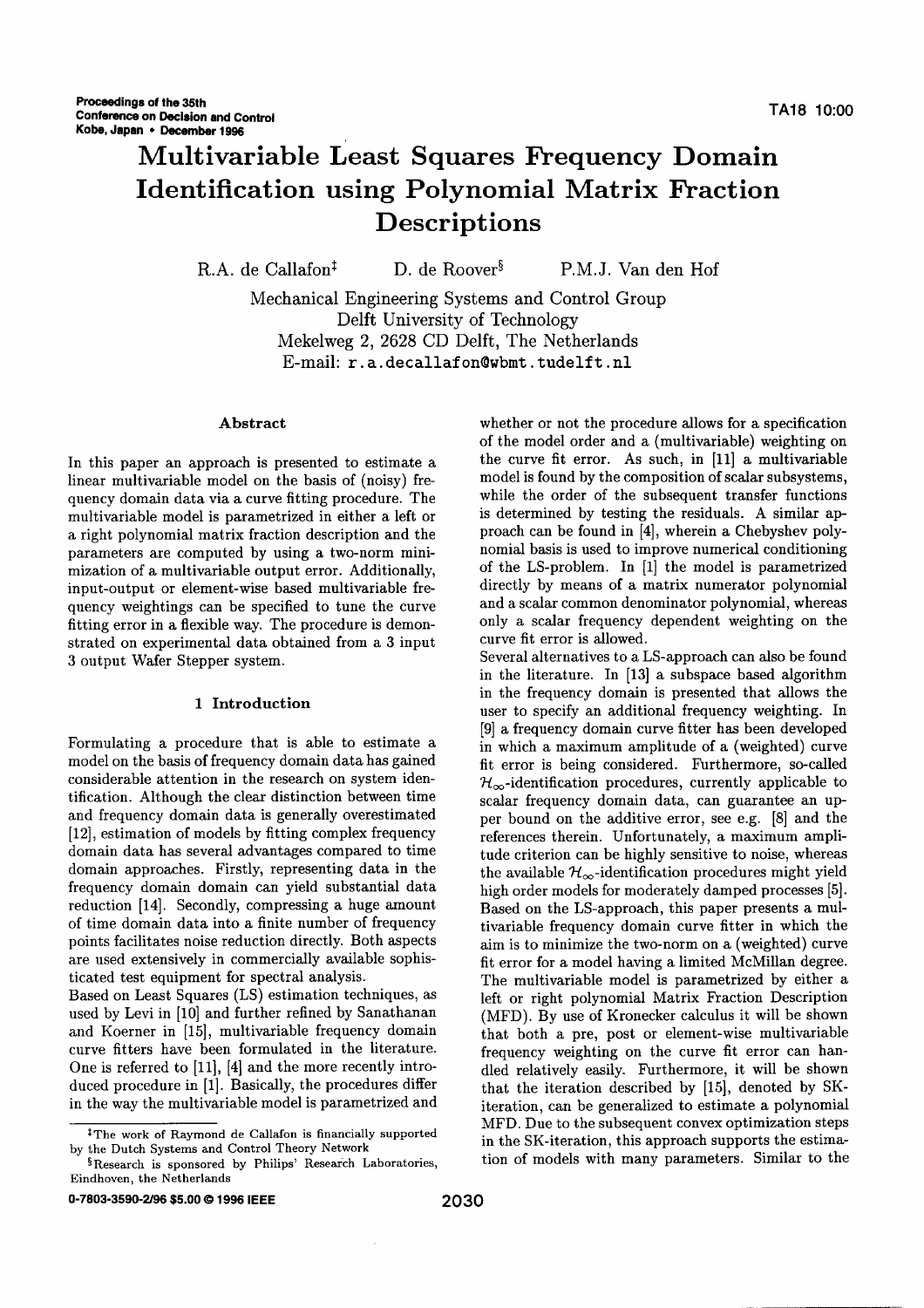# **Multivariable Least Squares Frequency Domain Identification using Polynomial Matrix Fraction Descriptions**

R.A. de Callafon<sup> $\ddagger$ </sup> D. de Roover<sup>§</sup> P.M.J. Van den Hof

Mechanical Engineering Systems and Control Group Delft University of Technology Mekelweg 2, 2628 CD Delft, The Netherlands E-mail: r.a.decallafon@wbmt.tudelft.nl

# **Abstract**

In this paper an approach is presented to estimate a linear multivariable model on the basis of (noisy) frequency domain data via a curve fitting procedure. The multivariable model is parametrized in either a left or a right polynomial matrix fraction description and the parameters are computed by using a two-norm minimization of a multivariable output error. Additionally, input-output or element-wise based multivariable frequency weighings can be specified to tune the curve fitting error in a flexible way. The procedure is demonstrated on experimental data obtained from a 3 input 3 output Wafer Stepper system.

# 1 Introduction

Formulating a procedure that is able to estimate a model on the basis of frequency domain data has gained considerable attention in the research on system identification. Although the clear distinction between time and frequency domain data is generally overestimated [12], estimation of models by fitting complex frequency domain data has several advantages compared to time domain approaches. Firstly, representing data in the frequency domain domain can yield substantial data reduction [14]. Secondly, compressing a huge amount of time domain data into a finite number of frequency points facilitates noise reduction directly. Both aspects are used extensively in commercially available sophisticated test equipment for spectral analysis.

Based on Least Squares (LS) estimation techniques, as used by Levi in [10] and further refined by Sanathanan and Koerner in [15], multivariable frequency domain curve fitters have been formulated in the literature. One is referred to [11], [4] and the more recently introduced procedure in [1]. Basically, the procedures differ in the way the multivariable model is parametrized and whether or not the procedure allows for a specification of the model order and a (multivariable) weighting on the curve fit error. As such, in [11] a multivariable model is found by the composition of scalar subsystems, while the order of the subsequent transfer functions is determined by testing the residuals. A similar approach can be found in [4], wherein a Chebyshev polynomial basis is used to improve numerical conditioning of the LS-problem. In [1] the model is parametrized directly by means of a matrix numerator polynomial and a scalar common denominator polynomial, whereas only a scalar frequency dependent weighting on the curve fit error is allowed.

Several alternatives to a LS-approach can also be found in the literature. In [13] a subspace based algorithm in the frequency domain is presented that allows the user to specify an additional frequency weighting. In [9] a frequency domain curve fitter has been developed in which a maximum amplitude of a (weighted) curve fit error is being considered. Furthermore, so-called  $\mathcal{H}_{\infty}$ -identification procedures, currently applicable to scalar frequency domain data, can guarantee an upper bound on the additive error, see e.g. [8] and the references therein. Unfortunately, a maximum amplitude criterion can be highly sensitive to noise, whereas the available  $\mathcal{H}_{\infty}$ -identification procedures might yield high order models for moderately damped processes [5]. Based on the LS-approach, this paper presents a multivariable frequency domain curve fitter in which the aim is to minimize the two-norm on a (weighted) curve fit error for a model having a limited McMillan degree. The multivariable model is parametrized by either a left or right polynomial Matrix Fraction Description (MFD). By use of Kronecker calculus it will be shown that both a pre, post or element-wise multivariable frequency weighting on the curve fit error can handled relatively easily. Furthermore, it will be shown that the iteration described by [15], denoted by SKiteration, can be generalized to estimate a polynomial MFD. Due to the subsequent convex optimization steps in the SK-iteration, this approach supports the estimation of models with many parameters. Similar to the

**t The work** of RaYmond de Callafon is **financially supported** by the Dutch Systems and Control Theory Network

 $§$ Research is sponsored by Philips' Research Laboratories, Eindhoven, the Netherlands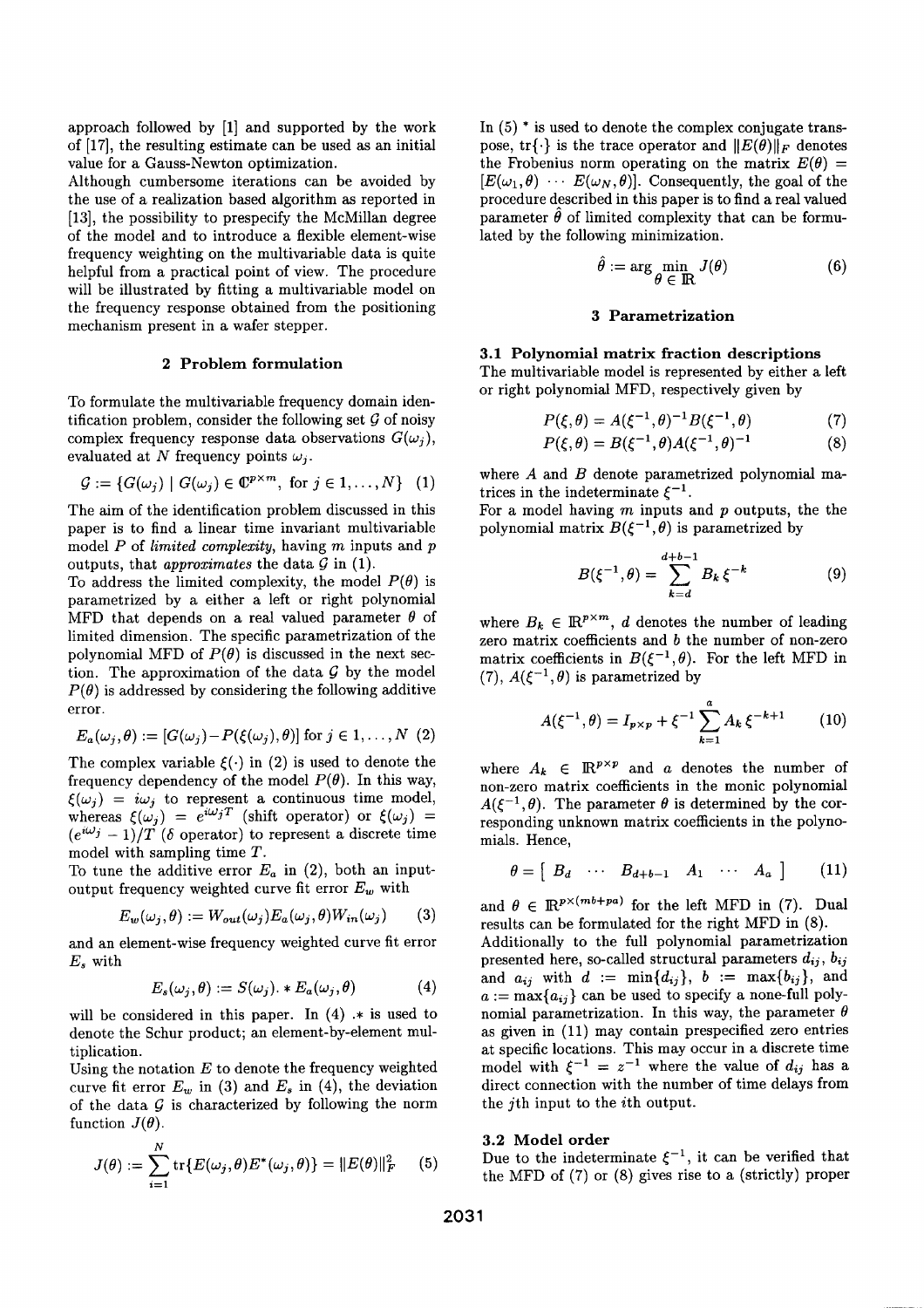approach followed by [1] and supported by the work of [17], the resulting estimate can be used as an initial value for a Gauss-Newton optimization.

Although cumbersome iterations can be avoided by the use of a realization based algorithm as reported in [13], the possibility to prespecify the McMillan degree of the model and to introduce a flexible element-wise frequency weighting on the multivariable data is quite helpful from a practical point of view. The procedure will be illustrated by fitting a multivariable model on the frequency response obtained from the positioning mechanism present in a wafer stepper.

## 2 Problem formulation

To formulate the multivariable frequency domain identification problem, consider the following set  $\mathcal G$  of noisy complex frequency response data observations  $G(\omega_i)$ , evaluated at N frequency points  $\omega_i$ .

$$
\mathcal{G} := \{ G(\omega_j) \mid G(\omega_j) \in \mathbb{C}^{p \times m}, \text{ for } j \in 1, \dots, N \} \quad (1)
$$

The aim of the identification problem discussed in this paper is to find a linear time invariant multivariable model *P* of *limited* complexity, having m inputs and *P* outputs, that *approximates* the data  $\mathcal{G}$  in (1).

To address the limited complexity, the model  $P(\theta)$  is parametrized by a either a left or right polynomial MFD that depends on a real valued parameter  $\theta$  of limited dimension. The specific parametrization of the polynomial MFD of  $P(\theta)$  is discussed in the next section. The approximation of the data  $G$  by the model  $P(\theta)$  is addressed by considering the following additive error.

$$
E_a(\omega_j, \theta) := [G(\omega_j) - P(\xi(\omega_j), \theta)] \text{ for } j \in 1, \dots, N
$$
 (2)

The complex variable  $\xi(\cdot)$  in (2) is used to denote the frequency dependency of the model  $P(\theta)$ . In this way,  $\xi(\omega_j) = i\omega_j$  to represent a continuous time model, whereas  $\xi(\omega_j) = e^{i\omega_j T}$  (shift operator) or  $\xi(\omega_j) =$  $(e^{i\omega_j}-1)/T$  ( $\delta$  operator) to represent a discrete time model with sampling time *T.*

To tune the additive error  $E_a$  in (2), both an inputoutput frequency weighted curve fit error  $E_w$  with

$$
E_w(\omega_j, \theta) := W_{out}(\omega_j) E_a(\omega_j, \theta) W_{in}(\omega_j)
$$
 (3)

and an element-wise frequency weighted curve fit error *Es* with

$$
E_s(\omega_j, \theta) := S(\omega_j) \cdot * E_a(\omega_j, \theta) \tag{4}
$$

will be considered in this paper. In  $(4)$   $*$  is used to denote the Schur product; an element-by-element multiplication.

Using the notation *E* to denote the frequency weighted curve fit error  $E_w$  in (3) and  $E_s$  in (4), the deviation of the data  $G$  is characterized by following the norm function  $J(\theta)$ .

$$
J(\theta) := \sum_{i=1}^N \text{tr}\{E(\omega_j, \theta)E^*(\omega_j, \theta)\} = ||E(\theta)||_F^2 \qquad (5)
$$

In (5) \* is used to denote the complex conjugate transpose,  $\text{tr}\{\cdot\}$  is the trace operator and  $||E(\theta)||_F$  denotes the Frobenius norm operating on the matrix  $E(\theta)$  =  $[E(\omega_1, \theta) \cdots E(\omega_N, \theta)]$ . Consequently, the goal of the procedure described in this paper is to find a real valued parameter  $\theta$  of limited complexity that can be formulated by the following minimization.

$$
\hat{\theta} := \arg\min_{\theta \in \mathbb{R}} J(\theta) \tag{6}
$$

#### 3 **Parametrization**

### **3.1 Polynomial matrix fraction descriptions**

The multivariable model is represented by either a left or right polynomial MFD, respectively given by

$$
P(\xi, \theta) = A(\xi^{-1}, \theta)^{-1} B(\xi^{-1}, \theta)
$$
 (7)

$$
P(\xi, \theta) = B(\xi^{-1}, \theta)A(\xi^{-1}, \theta)^{-1}
$$
 (8)

where *A* and *B* denote parametrized polynomial matrices in the indeterminate  $\xi^{-1}$ .

For a model having m inputs and *p* outputs, the the polynomial matrix  $B(\xi^{-1}, \theta)$  is parametrized by

$$
B(\xi^{-1}, \theta) = \sum_{k=d}^{d+b-1} B_k \xi^{-k} \tag{9}
$$

where  $B_k \in \mathbb{R}^{p \times m}$ , *d* denotes the number of leading zero matrix coefficients and *b* the number of non-zero matrix coefficients in  $B(\xi^{-1}, \theta)$ . For the left MFD in (7),  $A(\xi^{-1}, \theta)$  is parametrized by

$$
A(\xi^{-1}, \theta) = I_{p \times p} + \xi^{-1} \sum_{k=1}^{a} A_k \xi^{-k+1}
$$
 (10)

where  $A_k \in \mathbb{R}^{p \times p}$  and a denotes the number of non-zero matrix coefficients in the monic polynomial  $A(\xi^{-1}, \theta)$ . The parameter  $\theta$  is determined by the corresponding unknown matrix coefficients in the polynomials. Hence,

$$
\theta = \left[ \begin{array}{cccc} B_d & \cdots & B_{d+b-1} & A_1 & \cdots & A_a \end{array} \right] \qquad (11)
$$

and  $\theta \in \mathbb{R}^{p \times (mb+pa)}$  for the left MFD in (7). Dual results can be formulated for the right MFD in (8).

Additionally to the full polynomial parametrization presented here, so-called structural parameters  $d_{ij}$ ,  $b_{ij}$ and  $a_{ij}$  with  $d := \min\{d_{ij}\}, b := \max\{b_{ij}\},$  and  $a := \max\{a_{ij}\}\)$  can be used to specify a none-full polynomial parametrization. In this way, the parameter  $\theta$ as given in (11) may contain prespecified zero entries at specific locations. This may occur in a discrete time model with  $\xi^{-1} = z^{-1}$  where the value of  $d_{ij}$  has a direct connection with the number of time delays from the jth input to the ith output.

#### 3.2 **Model order**

Due to the indeterminate  $\xi^{-1}$ , it can be verified that the MFD of (7) or (8) gives rise to a (strictly) proper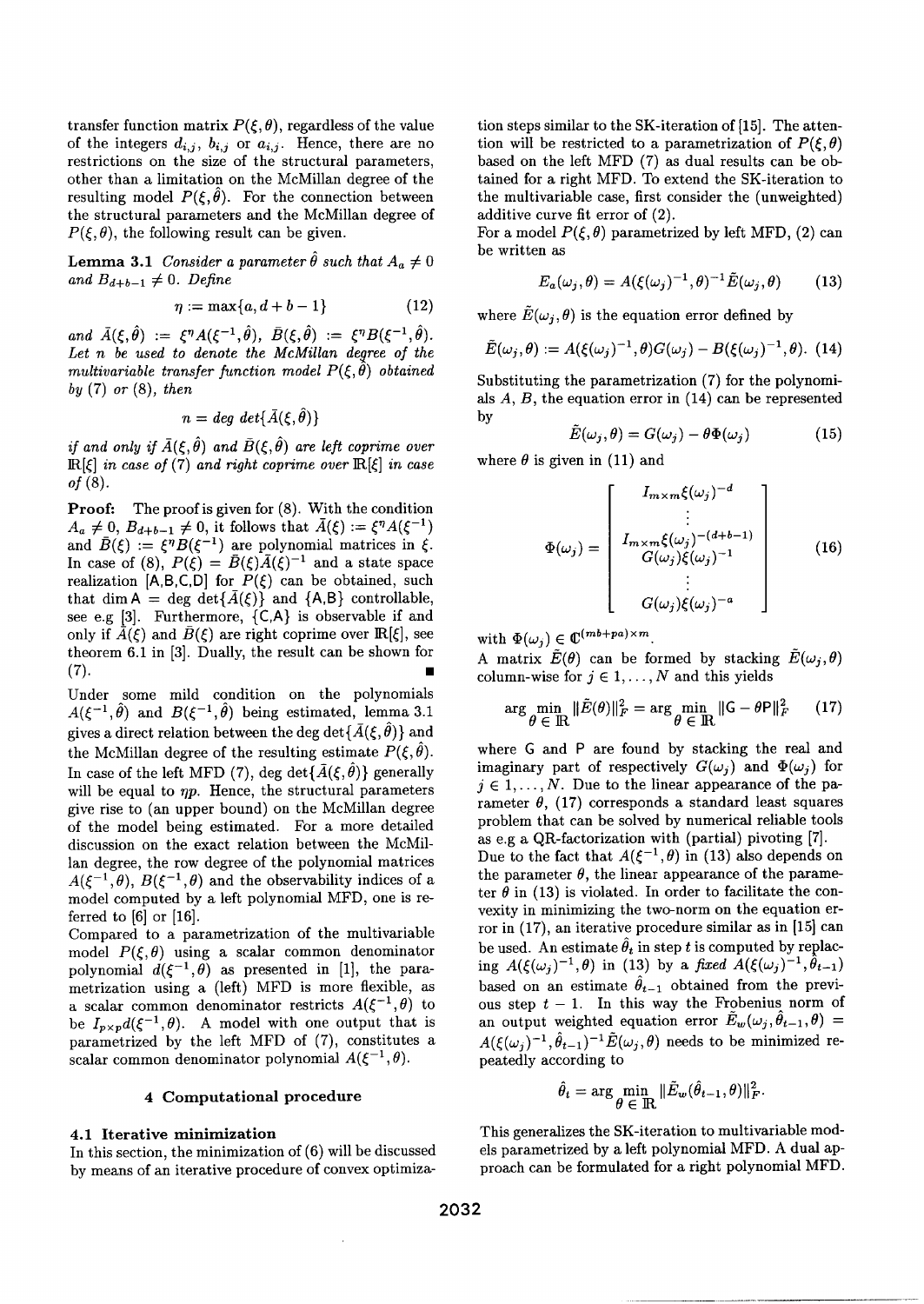transfer function matrix  $P(\xi, \theta)$ , regardless of the value of the integers  $d_{i,j}$ ,  $b_{i,j}$  or  $a_{i,j}$ . Hence, there are no restrictions on the size of the structural parameters, other than a limitation on the McMillan degree of the resulting model  $P(\xi, \hat{\theta})$ . For the connection between the structural parameters and the McMillan degree of  $P(\xi, \theta)$ , the following result can be given.

**Lemma 3.1** Consider a parameter  $\hat{\theta}$  such that  $A_a \neq 0$ and  $B_{d+b-1} \neq 0$ . *Define* 

$$
\eta := \max\{a, d+b-1\} \tag{12}
$$

and  $\bar{A}(\xi, \hat{\theta}) := \xi^{\eta} A(\xi^{-1}, \hat{\theta}), \ \bar{B}(\xi, \hat{\theta}) := \xi^{\eta} B(\xi^{-1}, \hat{\theta}).$ *Let n be used to denote the McMillan degree of the multivariable transfer function* model  $P(\xi, \hat{\theta})$  *obtained by (7) or (8), then*

$$
n = deg \, det\{\bar{A}(\xi,\hat{\theta})\}
$$

 $\hat{a}$  *if* and only if  $\bar{A}(\xi, \hat{\theta})$  and  $\bar{B}(\xi, \hat{\theta})$  are left coprime over  $I\!R[\xi]$  *in case of* (7) *and right coprime over*  $I\!R[\xi]$  *in case of* (8).

**Proofi** The proof is given for (8). With the condition  $A_a \neq 0, B_{d+b-1} \neq 0$ , it follows that  $\bar{A}(\xi) := \xi^n A(\xi^{-1})$ and  $B(\xi) := \xi^{\eta} B(\xi^{-1})$  are polynomial matrices in  $\xi$ . In case of (8),  $P(\xi) = B(\xi)A(\xi)^{-1}$  and a state space realization  $[A, B, C, D]$  for  $P(\xi)$  can be obtained, such that dim  $A = \text{deg det} \{ \bar{A}(\xi) \}$  and  $\{ A, B \}$  controllable, see e.g [3]. Furthermore,  ${C, A}$  is observable if and only if  $\bar{A}(\xi)$  and  $\bar{B}(\xi)$  are right coprime over  $\mathbb{R}[\xi]$ , see theorem 6.1 in [3]. Dually, the result can be shown for  $(7).$ 

Under some mild condition on the polynomials  $A(\xi^{-1}, \hat{\theta})$  and  $B(\xi^{-1}, \hat{\theta})$  being estimated, lemma 3.1 gives a direct relation between the deg det  $\{\bar{A}(\xi,\theta)\}\$  and the McMillan degree of the resulting estimate  $P(\xi, \hat{\theta})$ . In case of the left MFD (7), deg det  $\{\bar{A}(\xi,\theta)\}\$  generally will be equal to  $\eta p$ . Hence, the structural parameters give rise to (an upper bound) on the McMillan degree of the model being estimated. For a more detailed discussion on the exact relation between the McMillan degree, the row degree of the polynomial matrices  $A(\xi^{-1}, \theta)$ ,  $B(\xi^{-1}, \theta)$  and the observability indices of a model computed by a left polynomial MFD, one is referred to  $[6]$  or  $[16]$ .

Compared to a parametrization of the multivariable model  $P(\xi, \theta)$  using a scalar common denominator polynomial  $d(\xi^{-1}, \theta)$  as presented in [1], the parametrization using a (left) MFD is more flexible, as a scalar common denominator restricts  $A(\xi^{-1}, \theta)$  to be  $I_{p\times p}d(\xi^{-1},\theta)$ . A model with one output that is parametrized by the left MFD of (7), constitutes a scalar common denominator polynomial  $A(\xi^{-1}, \theta)$ .

#### *4* **Computational procedure**

#### **4.1 Iterative minimization**

In this section, the minimization of (6) will be discussed by means of an iterative procedure of convex optimization steps similar to the SK-iteration of [15]. The attention will be restricted to a parametrization of  $P(\xi, \theta)$ based on the left MFD (7) as dual results can be obtained for a right MFD. To extend the SK-iteration to the multivariable case, first consider the (unweighed) additive curve fit error of (2).

For a model  $P(\xi, \theta)$  parametrized by left MFD, (2) can be written as

$$
E_a(\omega_j, \theta) = A(\xi(\omega_j)^{-1}, \theta)^{-1} \tilde{E}(\omega_j, \theta) \qquad (13)
$$

where  $\tilde{E}(\omega_i, \theta)$  is the equation error defined by

$$
\tilde{E}(\omega_j,\theta) := A(\xi(\omega_j)^{-1},\theta)G(\omega_j) - B(\xi(\omega_j)^{-1},\theta). \tag{14}
$$

Substituting the parametrization (7) for the polynomials *A, B,* the equation error in (14) can be represented by

$$
\tilde{E}(\omega_j, \theta) = G(\omega_j) - \theta \Phi(\omega_j)
$$
 (15)

where  $\theta$  is given in (11) and

$$
\Phi(\omega_j) = \begin{bmatrix}\nI_{m \times m} \xi(\omega_j)^{-d} \\
\vdots \\
I_{m \times m} \xi(\omega_j)^{-(d+b-1)} \\
G(\omega_j) \xi(\omega_j)^{-1} \\
\vdots \\
G(\omega_j) \xi(\omega_j)^{-a}\n\end{bmatrix}
$$
\n(16)\n
$$
j) \in \mathbb{C}^{(mb+pa) \times m}.
$$

with  $\Phi(\omega_i) \in \mathbb{C}^{(mb+pa)\times m}$ .

A matrix  $\hat{E}(\theta)$  can be formed by stacking  $E(\omega_i, \theta)$ column-wise for  $j \in 1, ..., N$  and this yields

$$
\arg\min_{\theta \in \mathbb{R}} \|\tilde{E}(\theta)\|_{F}^{2} = \arg\min_{\theta \in \mathbb{R}} \|G - \theta P\|_{F}^{2} \qquad (17)
$$

where G and P are found by stacking the real and imaginary part of respectively  $G(\omega_j)$  and  $\Phi(\omega_j)$  for  $j \in 1, \ldots, N$ . Due to the linear appearance of the parameter  $\theta$ , (17) corresponds a standard least squares problem that can be solved by numerical reliable tools as e.g a QR-factorization with (partial) pivoting [7]. Due to the fact that  $A(\xi^{-1}, \theta)$  in (13) also depends on the parameter  $\theta$ , the linear appearance of the parameter  $\theta$  in (13) is violated. In order to facilitate the convexity in minimizing the two-norm on the equation error in (17), an iterative procedure similar as in [15] can be used. An estimate  $\hat{\theta}_t$  in step t is computed by replacing  $A(\xi(\omega_j)^{-1}, \theta)$  in (13) by a fixed  $A(\xi(\omega_j)^{-1}, \hat{\theta}_{t-1})$ based on an estimate  $\hat{\theta}_{t-1}$  obtained from the previous step  $t - 1$ . In this way the Frobenius norm of an output weighted equation error  $\tilde{E}_w(\omega_j, \tilde{\theta}_{t-1}, \theta) =$  $A(\xi(\omega_i)^{-1}, \hat{\theta}_{t-1})^{-1} \tilde{E}(\omega_i, \theta)$  needs to be minimized repeatedly according to

$$
\hat{\theta}_t = \arg\min_{\theta \in \mathbb{R}} \|\tilde{E}_w(\hat{\theta}_{t-1}, \theta)\|_F^2.
$$

This generalizes the SK-iteration to multivariable models parametrized by a left polynomial MFD. A dual approach can be formulated for a right polynomial MFD.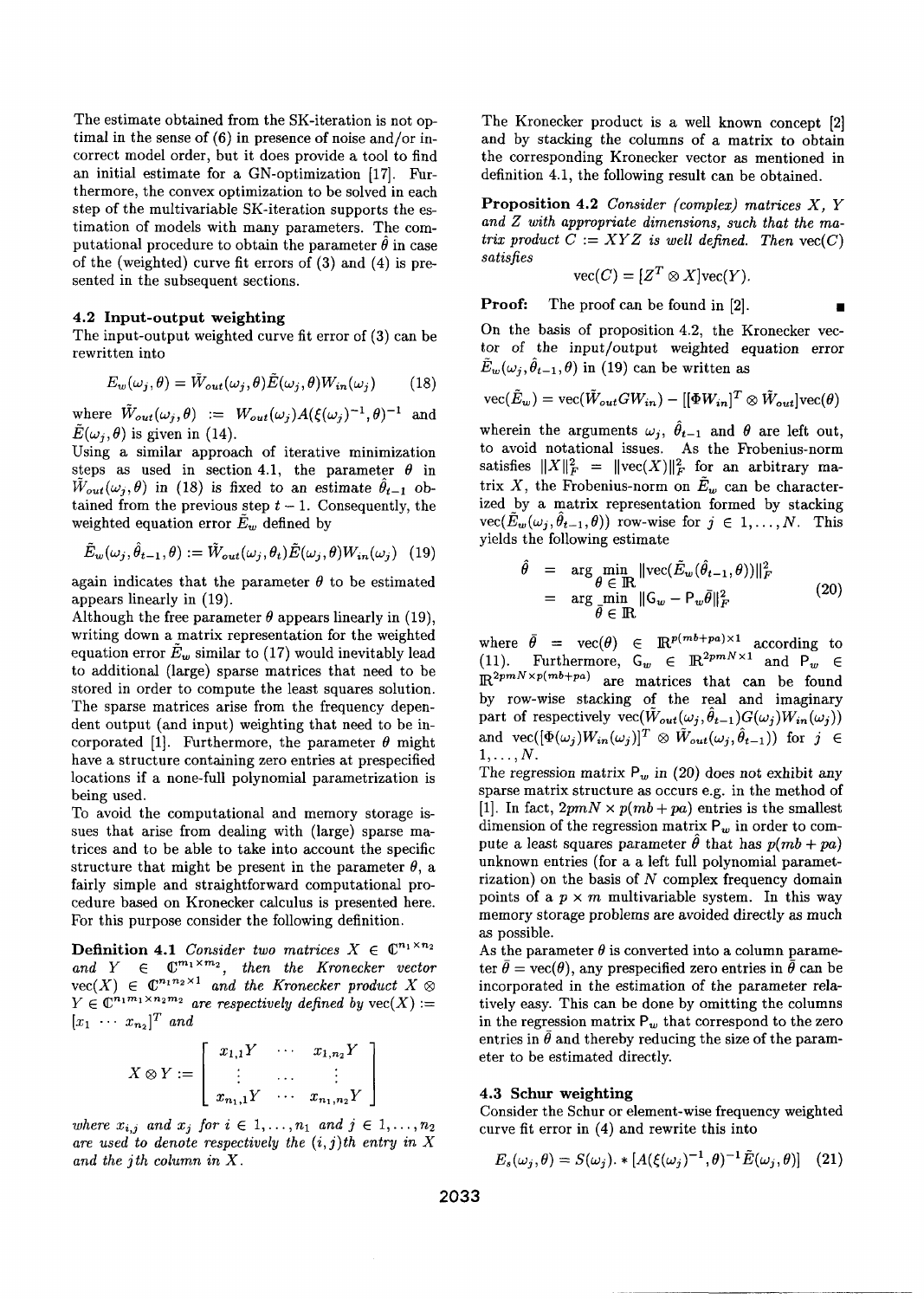The estimate obtained from the SK-iteration is not optimal in the sense of (6) in presence of noise and/or incorrect model order, but it does provide a tool to find an initial estimate for a GN-optimization [17]. Furthermore, the convex optimization to be solved in each step of the multivariable SK-iteration supports the estimation of models with many parameters. The computational procedure to obtain the parameter  $\hat{\theta}$  in case of the (weighted) curve fit errors of (3) and (4) is presented in the subsequent sections.

### 4.2 Input-output weighting

The input-output weighted curve fit error of (3) can be rewritten into

$$
E_w(\omega_j, \theta) = W_{out}(\omega_j, \theta) E(\omega_j, \theta) W_{in}(\omega_j)
$$
 (18)

where  $\tilde{W}_{out}(\omega_i, \theta) := W_{out}(\omega_i) A(\xi(\omega_i)^{-1}, \theta)^{-1}$  and  $\tilde{E}(\omega_i,\theta)$  is given in (14).

Using a similar approach of iterative minimization steps as used in section 4.1, the parameter  $\theta$  in  $\hat{W}_{out}(\omega_i, \theta)$  in (18) is fixed to an estimate  $\hat{\theta}_{t-1}$  obtained from the previous step  $t - 1$ . Consequently, the weighted equation error  $\tilde{E}_w$  defined by

$$
\tilde{E}_w(\omega_j, \hat{\theta}_{t-1}, \theta) := \tilde{W}_{out}(\omega_j, \theta_t) \tilde{E}(\omega_j, \theta) W_{in}(\omega_j)
$$
 (19)

again indicates that the parameter  $\theta$  to be estimated appears linearly in (19).

Although the free parameter  $\theta$  appears linearly in (19), writing down a matrix representation for the weighted equation error  $\tilde{E}_w$  similar to (17) would inevitably lead to additional (large) sparse matrices that need to be stored in order to compute the least squares solution. The sparse matrices arise from the frequency dependent output (and input) weighting that need to be incorporated [1]. Furthermore, the parameter  $\theta$  might have a structure containing zero entries at prespecified locations if a none-full polynomial parametrization is being used.

To avoid the computational and memory storage issues that arise from dealing with (large) sparse matrices and to be able to take into account the specific structure that might be present in the parameter  $\theta$ , a fairly simple and straightforward computational procedure based on Kronecker calculus is presented here. For this purpose consider the following definition.

**Definition 4.1** Consider two matrices  $X \in \mathbb{C}^{n_1 \times n_2}$ and  $Y \in \mathbb{C}^{m_1 \times m_2}$ , then the *Kronecker vector*  $vec(X) \in \mathbb{C}^{n_1 n_2 \times 1}$  *and the Kronecker product*  $X \otimes$  $Y \in \mathbb{C}^{n_1 m_1 \times n_2 m_2}$  are respectively defined by  $\text{vec}(X) :=$  $[x_1 \cdots x_{n_2}]^T$  and

$$
X \otimes Y := \left[ \begin{array}{ccc} x_{1,1}Y & \cdots & x_{1,n_2}Y \\ \vdots & \cdots & \vdots \\ x_{n_1,1}Y & \cdots & x_{n_1,n_2}Y \end{array} \right]
$$

*where*  $x_{i,j}$  and  $x_j$  for  $i \in 1, \ldots, n_1$  and  $j \in 1, \ldots, n_2$ *are used to* denote *respectively the (i, j) th entry in X and the j th column in X.*

The Kronecker product is a well known concept [2] and by stacking the columns of a matrix to obtain the corresponding Kronecker vector aa mentioned in definition 4.1, the following result can be obtained.

Proposition 4.2 *Consider* (complex) matrices X, Y and Z *with* appropriate dimensions, *such that the matrix product*  $C := XYZ$  *is well defined. Then*  $\text{vec}(C)$ *satisjies*

$$
\text{vec}(C) = [Z^T \otimes X] \text{vec}(Y).
$$

**Proof:** The proof can be found in [2].

On the basis of proposition 4.2, the Kronecker vector of the input/output weighted equation error  $\hat{E}_w(\omega_i, \hat{\theta}_{t-1}, \theta)$  in (19) can be written as

$$
\text{vec}(\tilde{E}_w) = \text{vec}(\tilde{W}_{out}GW_{in}) - [[\Phi W_{in}]^T \otimes \tilde{W}_{out}]\text{vec}(\theta)
$$

wherein the arguments  $\omega_j$ ,  $\hat{\theta}_{t-1}$  and  $\theta$  are left out, to avoid notational issues. As the Frobenius-norm satisfies  $||X||_F^2 = ||\text{vec}(X)||_F^2$  for an arbitrary matrix X, the Frobenius-norm on  $\tilde{E}_w$  can be characterized by a matrix representation formed by stacking  $vec(\tilde{E}_w(\omega_i, \hat{\theta}_{t-1}, \theta))$  row-wise for  $j \in 1, ..., N$ . This yields the following estimate

$$
\hat{\theta} = \arg \min_{\theta \in \mathbb{R}} ||\text{vec}(\tilde{E}_w(\hat{\theta}_{t-1}, \theta))||_F^2 \n= \arg \min_{\bar{\theta} \in \mathbb{R}} ||\mathbf{G}_w - \mathbf{P}_w \bar{\theta}||_F^2
$$
\n(20)

where  $\theta = \text{vec}(\theta) \in \mathbb{R}^{p(m\theta + pa)\times 1}$  according to (11). Furthermore,  $\mathsf{G}_w \in \mathbb{R}^{2pmN \times 1}$  and  $\mathsf{P}_w \in$  $\mathbb{R}^{2pmN\times p(mb+pa)}$  are matrices that can be found by row-wise stacking of the real and imaginary part of respectively  $vec(\tilde{W}_{out}(\omega_j, \hat{\theta}_{t-1})G(\omega_j)W_{in}(\omega_j))$ and  $\text{vec}([\Phi(\omega_j)W_{in}(\omega_j)]^T \otimes \tilde{W}_{out}(\omega_j, \hat{\theta}_{t-1}))$  for  $j \in$  $1,\ldots, N$ .

The regression matrix  $P_w$  in (20) does not exhibit any sparse matrix structure as occurs e.g. in the method of [1]. In fact,  $2pmN \times p(mb + pa)$  entries is the smallest dimension of the regression matrix  $P_w$  in order to compute a least squares parameter  $\hat{\theta}$  that has  $p(mb + pa)$ unknown entries (for a a left full polynomial parametrization) on the basis of  $N$  complex frequency domain points of a  $p \times m$  multivariable system. In this way memory storage problems are avoided directly as much as possible.

As the parameter  $\theta$  is converted into a column parameter  $\bar{\theta} = \text{vec}(\theta)$ , any prespecified zero entries in  $\bar{\theta}$  can be incorporated in the estimation of the parameter relatively easy. This can be done by omitting the columns in the regression matrix  $P_w$  that correspond to the zero entries in  $\bar{\theta}$  and thereby reducing the size of the parameter to be estimated directly.

### 4.3 **Schur weighting**

**Consider the Schur or element-wise frequency weighted curve fit error in (4) and rewrite this into**

$$
E_s(\omega_j, \theta) = S(\omega_j) \cdot * [A(\xi(\omega_j)^{-1}, \theta)^{-1} \tilde{E}(\omega_j, \theta)] \quad (21)
$$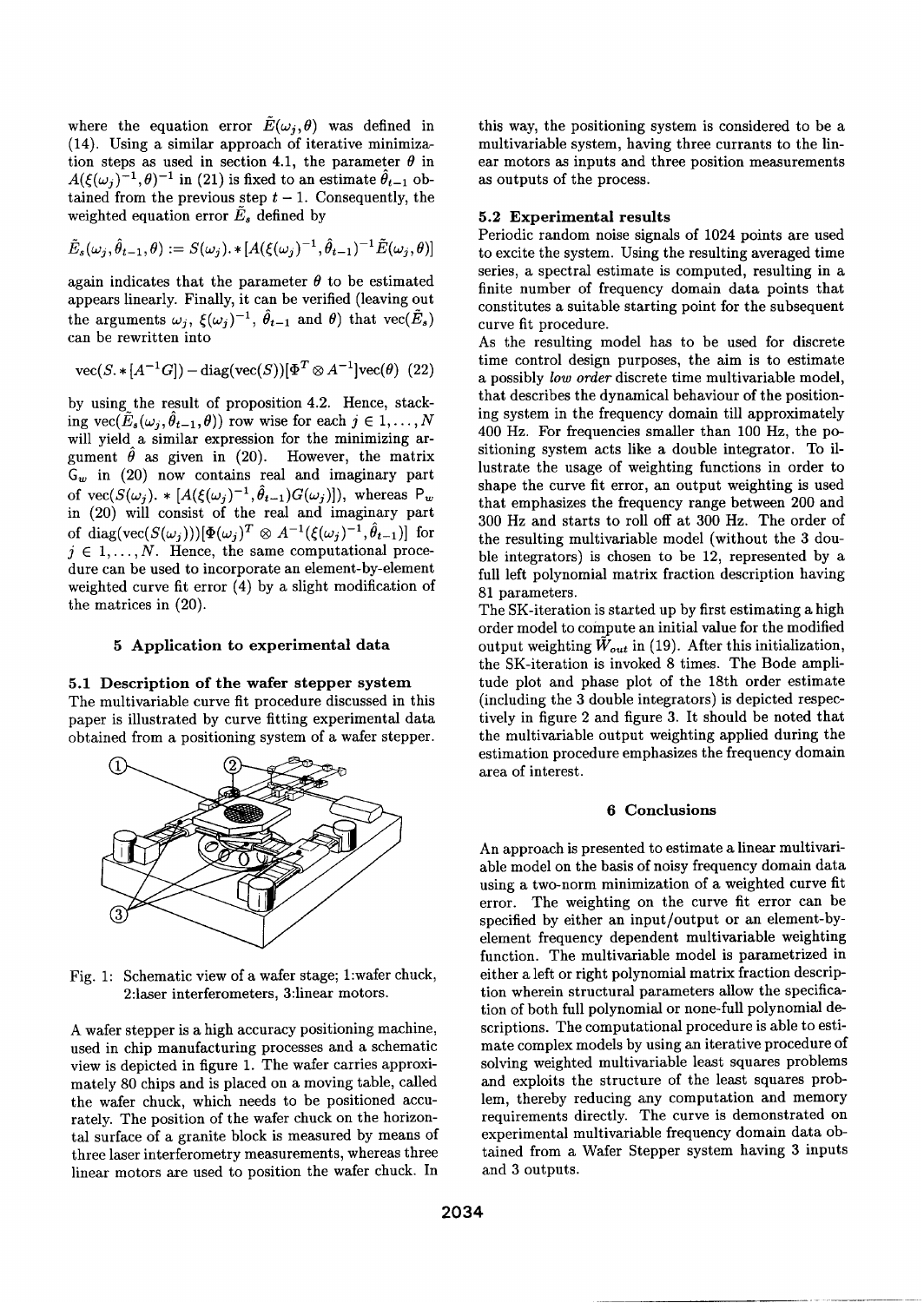where the equation error  $\tilde{E}(\omega_i, \theta)$  was defined in (14). Using a similar approach of iterative minimization steps as used in section 4.1, the parameter  $\theta$  in  $A(\xi(\omega_i)^{-1}, \theta)^{-1}$  in (21) is fixed to an estimate  $\hat{\theta}_{t-1}$  obtained from the previous step  $t-1$ . Consequently, the weighted equation error  $\tilde{E}_s$  defined by

$$
\tilde{E}_s(\omega_j,\hat{\theta}_{t-1},\theta) := S(\omega_j)_*\!*\![A(\xi(\omega_j)^{-1},\hat{\theta}_{t-1})^{-1}\tilde{E}(\omega_j,\theta)]
$$

again indicates that the parameter  $\theta$  to be estimated appears linearly. Finally, it can be verified (leaving out the arguments  $\omega_j$ ,  $\xi(\omega_j)^{-1}$ ,  $\hat{\theta}_{t-1}$  and  $\theta$ ) that vec( $\tilde{E}_s$ ) can be rewritten into

$$
\text{vec}(S, *[A^{-1}G]) - \text{diag}(\text{vec}(S))[\Phi^T \otimes A^{-1}]\text{vec}(\theta)
$$
 (22)

by using the result of proposition 4.2. Hence, stacking vec $(E_{s}(\omega_{j},\theta_{t-1},\theta))$  row wise for each  $j \in 1, ..., N$ will yield a similar expression for the minimizing argument  $\hat{\theta}$  as given in (20). However, the matrix  $G_w$  in (20) now contains real and imaginary part of vec( $S(\omega_j)$ . \*  $[A(\xi(\omega_j)^{-1}, \hat{\theta}_{t-1})G(\omega_j)]$ ), whereas  $P_w$ in (20) will consist of the real and imaginary part of diag(vec( $S(\omega_i))$ )[ $\Phi(\omega_i)^T \otimes A^{-1}(\xi(\omega_i)^{-1}, \hat{\theta}_{i-1})$ ] for  $j \in 1, \ldots, N$ . Hence, the same computational procedure can be used to incorporate an element-by-element weighted curve fit error (4) by a slight modification of the matrices in (20).

#### 5 **Application to experimental data**

# **5.1 Description of the wafer stepper system**

The multivariable curve fit procedure discussed in this paper is illustrated by curve fitting experimental data obtained from a positioning system of a wafer stepper.



Fig. 1: Schematic view of a wafer stage; 1:wafer chuck, 2:laser interferometers, 3:linear motors.

A wafer stepper is a high accuracy positioning machine, used in chip manufacturing processes and a schematic view is depicted in figure 1. The wafer carries approximately 80 chips and is placed on a moving table, called the wafer chuck, which needs to be positioned accurately. The position of the wafer chuck on the horizontal surface of a granite block is measured by means of three laser interferometry measurements, whereas three linear motors are used to position the wafer chuck. In

this way, the positioning system is considered to be a multivariable system, having three currants to the linear motors as inputs and three position measurements as outputs of the process.

## 5.2 **Experimental results**

Periodic random noise signals of 1024 points are used to excite the system. Using the resulting averaged time series, a spectral estimate is computed, resulting in a finite number of frequency domain data points that constitutes a suitable starting point for the subsequent curve fit procedure.

As the resulting model has to be used for discrete time control design purposes, the aim is to estimate a possibly low order discrete time multivariable model, that describes the dynamical behaviour of the positioning system in the frequency domain till approximately 400 Hz. For frequencies smaller than 100 Hz, the positioning system acts like a double integrator. To illustrate the usage of weighting functions in order to shape the curve fit error, an output weighting is used that emphasizes the frequency range between 200 and 300 Hz and starts to roll off at 300 Hz. The order of the resulting multivariable model (without the 3 double integrators) is chosen to be 12, represented by a full left polynomial matrix fraction description having 81 parameters.

The SK-iteration is started up by first estimating a high order model to compute an initial value for the modified output weighting  $\tilde{W}_{out}$  in (19). After this initialization, the SK-iteration is invoked 8 times. The Bode amplitude plot and phase plot of the 18th order estimate (including the 3 double integrators) is depicted respectively in figure 2 and figure 3. It should be noted that the multivariable output weighting applied during the estimation procedure emphasizes the frequency domain area of interest.

#### 6 **Conclusions**

An approach is presented to estimate a linear multivariable model on the basis of noisy frequency domain data using a two-norm minimization of a weighted curve fit error. The weighting on the curve fit error can be specified by either an input/output or an element-byelement frequency dependent multivariable weighting function. The multivariable model is parametrized in either a left or right polynomial matrix fraction description wherein structural parameters allow the specification of both full polynomial or none-full polynomial descriptions. The computational procedure is able to estimate complex models by using an iterative procedure of solving weighted multivariable least squares problems and exploits the structure of the least squares problem, thereby reducing any computation and memory requirements directly. The curve is demonstrated on experimental multivariable frequency domain data obtained from a Wafer Stepper system having 3 inputs and 3 outputs.